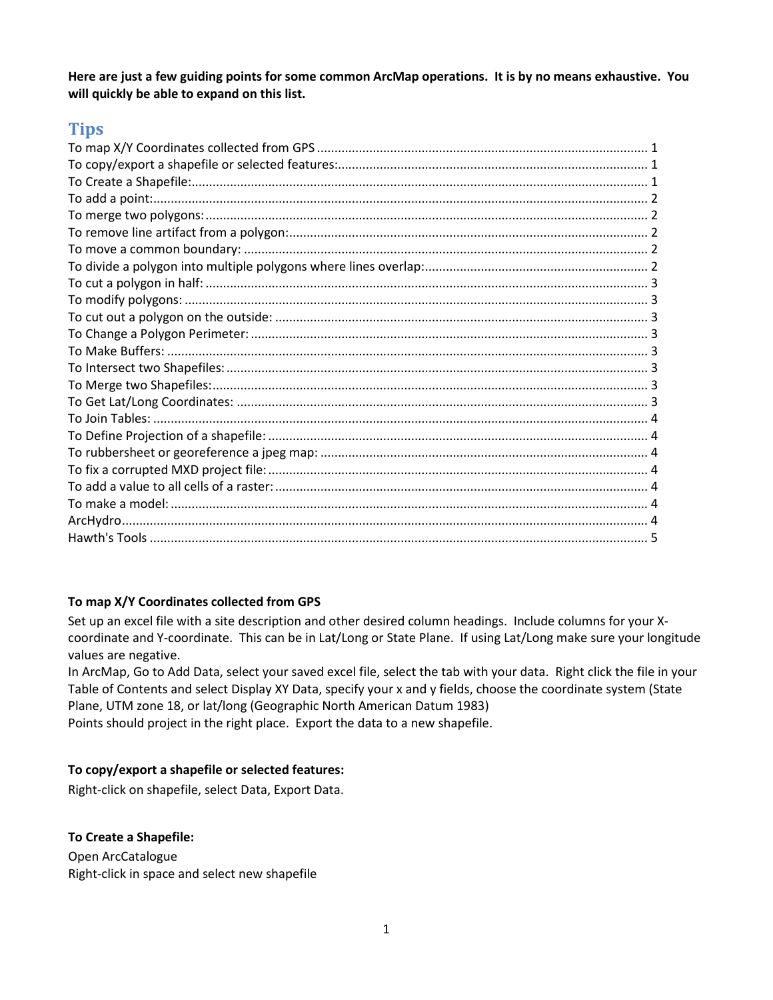**Here are just a few guiding points for some common ArcMap operations. It is by no means exhaustive. You will quickly be able to expand on this list.**

# **Tips**

# <span id="page-0-0"></span>**To map X/Y Coordinates collected from GPS**

Set up an excel file with a site description and other desired column headings. Include columns for your Xcoordinate and Y-coordinate. This can be in Lat/Long or State Plane. If using Lat/Long make sure your longitude values are negative.

In ArcMap, Go to Add Data, select your saved excel file, select the tab with your data. Right click the file in your Table of Contents and select Display XY Data, specify your x and y fields, choose the coordinate system (State Plane, UTM zone 18, or lat/long (Geographic North American Datum 1983)

<span id="page-0-1"></span>Points should project in the right place. Export the data to a new shapefile.

## **To copy/export a shapefile or selected features:**

<span id="page-0-2"></span>Right-click on shapefile, select Data, Export Data.

### **To Create a Shapefile:**

Open ArcCatalogue Right-click in space and select new shapefile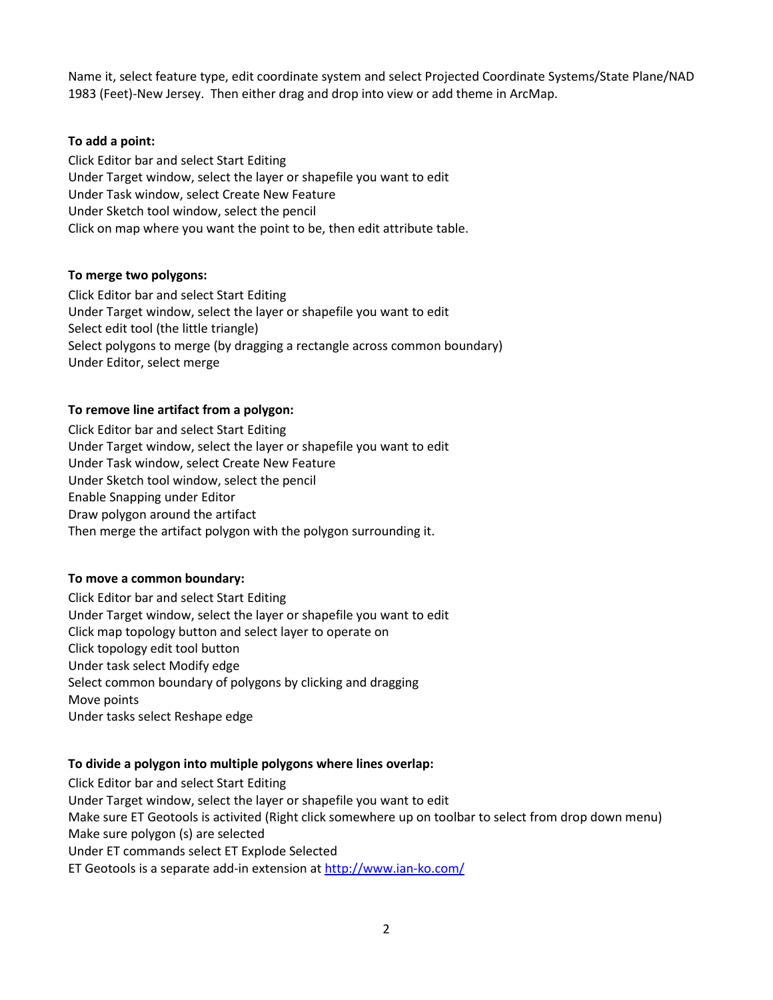<span id="page-1-0"></span>Name it, select feature type, edit coordinate system and select Projected Coordinate Systems/State Plane/NAD 1983 (Feet)-New Jersey. Then either drag and drop into view or add theme in ArcMap.

### **To add a point:**

Click Editor bar and select Start Editing Under Target window, select the layer or shapefile you want to edit Under Task window, select Create New Feature Under Sketch tool window, select the pencil Click on map where you want the point to be, then edit attribute table.

#### <span id="page-1-1"></span>**To merge two polygons:**

Click Editor bar and select Start Editing Under Target window, select the layer or shapefile you want to edit Select edit tool (the little triangle) Select polygons to merge (by dragging a rectangle across common boundary) Under Editor, select merge

### <span id="page-1-2"></span>**To remove line artifact from a polygon:**

Click Editor bar and select Start Editing Under Target window, select the layer or shapefile you want to edit Under Task window, select Create New Feature Under Sketch tool window, select the pencil Enable Snapping under Editor Draw polygon around the artifact Then merge the artifact polygon with the polygon surrounding it.

#### <span id="page-1-3"></span>**To move a common boundary:**

Click Editor bar and select Start Editing Under Target window, select the layer or shapefile you want to edit Click map topology button and select layer to operate on Click topology edit tool button Under task select Modify edge Select common boundary of polygons by clicking and dragging Move points Under tasks select Reshape edge

#### <span id="page-1-4"></span>**To divide a polygon into multiple polygons where lines overlap:**

Click Editor bar and select Start Editing Under Target window, select the layer or shapefile you want to edit Make sure ET Geotools is activited (Right click somewhere up on toolbar to select from drop down menu) Make sure polygon (s) are selected Under ET commands select ET Explode Selected ET Geotools is a separate add-in extension at<http://www.ian-ko.com/>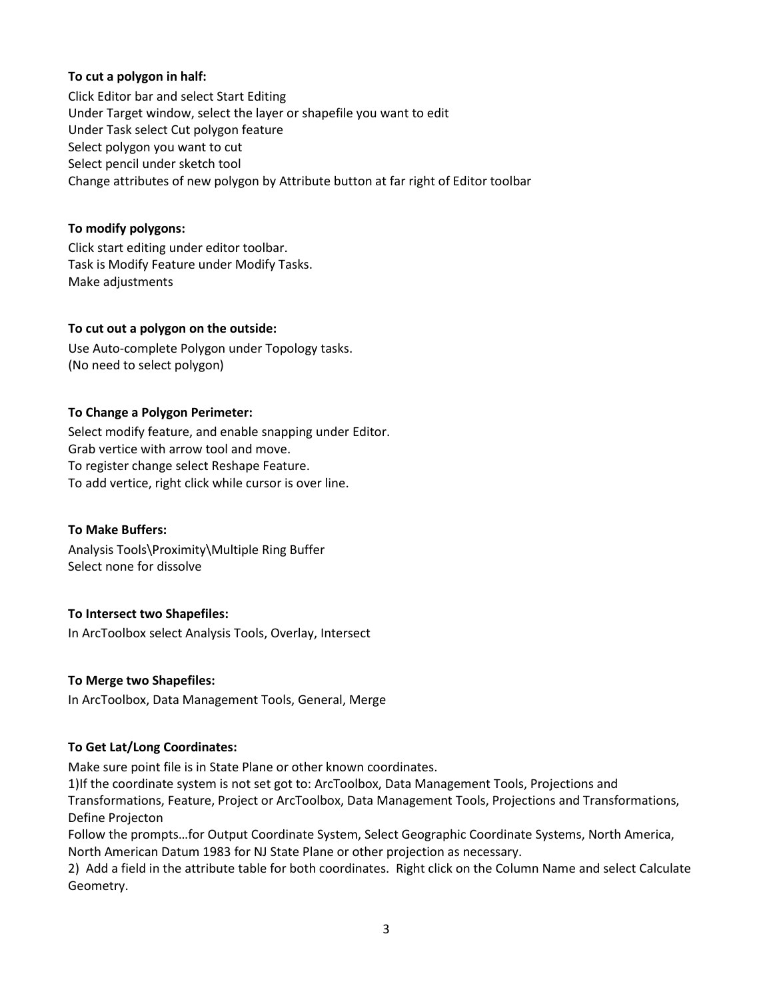## <span id="page-2-0"></span>**To cut a polygon in half:**

Click Editor bar and select Start Editing Under Target window, select the layer or shapefile you want to edit Under Task select Cut polygon feature Select polygon you want to cut Select pencil under sketch tool Change attributes of new polygon by Attribute button at far right of Editor toolbar

## <span id="page-2-1"></span>**To modify polygons:**

Click start editing under editor toolbar. Task is Modify Feature under Modify Tasks. Make adjustments

## <span id="page-2-2"></span>**To cut out a polygon on the outside:**

Use Auto-complete Polygon under Topology tasks. (No need to select polygon)

## <span id="page-2-3"></span>**To Change a Polygon Perimeter:**

Select modify feature, and enable snapping under Editor. Grab vertice with arrow tool and move. To register change select Reshape Feature. To add vertice, right click while cursor is over line.

### <span id="page-2-4"></span>**To Make Buffers:**

<span id="page-2-5"></span>Analysis Tools\Proximity\Multiple Ring Buffer Select none for dissolve

# **To Intersect two Shapefiles:**

<span id="page-2-6"></span>In ArcToolbox select Analysis Tools, Overlay, Intersect

# **To Merge two Shapefiles:**

<span id="page-2-7"></span>In ArcToolbox, Data Management Tools, General, Merge

# **To Get Lat/Long Coordinates:**

Make sure point file is in State Plane or other known coordinates.

1)If the coordinate system is not set got to: ArcToolbox, Data Management Tools, Projections and

Transformations, Feature, Project or ArcToolbox, Data Management Tools, Projections and Transformations, Define Projecton

Follow the prompts…for Output Coordinate System, Select Geographic Coordinate Systems, North America, North American Datum 1983 for NJ State Plane or other projection as necessary.

2) Add a field in the attribute table for both coordinates. Right click on the Column Name and select Calculate Geometry.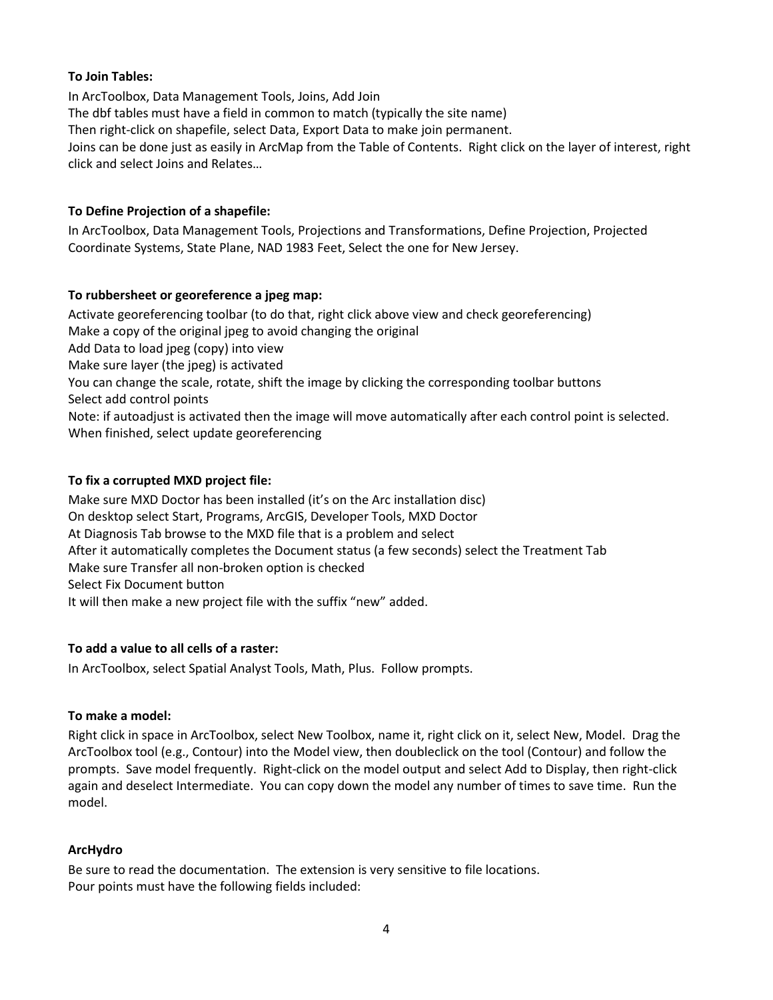## <span id="page-3-0"></span>**To Join Tables:**

In ArcToolbox, Data Management Tools, Joins, Add Join The dbf tables must have a field in common to match (typically the site name) Then right-click on shapefile, select Data, Export Data to make join permanent. Joins can be done just as easily in ArcMap from the Table of Contents. Right click on the layer of interest, right click and select Joins and Relates…

## <span id="page-3-1"></span>**To Define Projection of a shapefile:**

In ArcToolbox, Data Management Tools, Projections and Transformations, Define Projection, Projected Coordinate Systems, State Plane, NAD 1983 Feet, Select the one for New Jersey.

## <span id="page-3-2"></span>**To rubbersheet or georeference a jpeg map:**

Activate georeferencing toolbar (to do that, right click above view and check georeferencing) Make a copy of the original jpeg to avoid changing the original Add Data to load jpeg (copy) into view Make sure layer (the jpeg) is activated You can change the scale, rotate, shift the image by clicking the corresponding toolbar buttons Select add control points Note: if autoadjust is activated then the image will move automatically after each control point is selected. When finished, select update georeferencing

## <span id="page-3-3"></span>**To fix a corrupted MXD project file:**

Make sure MXD Doctor has been installed (it's on the Arc installation disc) On desktop select Start, Programs, ArcGIS, Developer Tools, MXD Doctor At Diagnosis Tab browse to the MXD file that is a problem and select After it automatically completes the Document status (a few seconds) select the Treatment Tab Make sure Transfer all non-broken option is checked Select Fix Document button It will then make a new project file with the suffix "new" added.

### <span id="page-3-4"></span>**To add a value to all cells of a raster:**

<span id="page-3-5"></span>In ArcToolbox, select Spatial Analyst Tools, Math, Plus. Follow prompts.

### **To make a model:**

Right click in space in ArcToolbox, select New Toolbox, name it, right click on it, select New, Model. Drag the ArcToolbox tool (e.g., Contour) into the Model view, then doubleclick on the tool (Contour) and follow the prompts. Save model frequently. Right-click on the model output and select Add to Display, then right-click again and deselect Intermediate. You can copy down the model any number of times to save time. Run the model.

# <span id="page-3-6"></span>**ArcHydro**

Be sure to read the documentation. The extension is very sensitive to file locations. Pour points must have the following fields included: